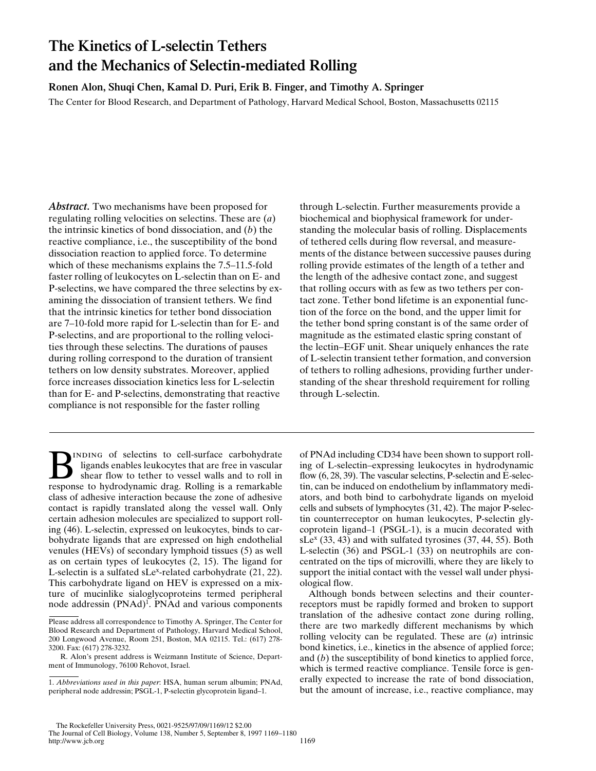# **The Kinetics of L-selectin Tethers and the Mechanics of Selectin-mediated Rolling**

**Ronen Alon, Shuqi Chen, Kamal D. Puri, Erik B. Finger, and Timothy A. Springer**

The Center for Blood Research, and Department of Pathology, Harvard Medical School, Boston, Massachusetts 02115

*Abstract.* Two mechanisms have been proposed for regulating rolling velocities on selectins. These are (*a*) the intrinsic kinetics of bond dissociation, and (*b*) the reactive compliance, i.e., the susceptibility of the bond dissociation reaction to applied force. To determine which of these mechanisms explains the 7.5–11.5-fold faster rolling of leukocytes on L-selectin than on E- and P-selectins, we have compared the three selectins by examining the dissociation of transient tethers. We find that the intrinsic kinetics for tether bond dissociation are 7–10-fold more rapid for L-selectin than for E- and P-selectins, and are proportional to the rolling velocities through these selectins. The durations of pauses during rolling correspond to the duration of transient tethers on low density substrates. Moreover, applied force increases dissociation kinetics less for L-selectin than for E- and P-selectins, demonstrating that reactive compliance is not responsible for the faster rolling

INDING of selectins to cell-surface carbohydrate ligands enables leukocytes that are free in vascular shear flow to tether to vessel walls and to roll in response to hydrodynamic drag. Rolling is a remarkable class of adhesive interaction because the zone of adhesive contact is rapidly translated along the vessel wall. Only certain adhesion molecules are specialized to support rolling (46). L-selectin, expressed on leukocytes, binds to carbohydrate ligands that are expressed on high endothelial venules (HEVs) of secondary lymphoid tissues (5) as well as on certain types of leukocytes (2, 15). The ligand for L-selectin is a sulfated sLe<sup>x</sup>-related carbohydrate (21, 22). This carbohydrate ligand on HEV is expressed on a mixture of mucinlike sialoglycoproteins termed peripheral node addressin (PNAd)<sup>1</sup>. PNAd and various components

through L-selectin. Further measurements provide a biochemical and biophysical framework for understanding the molecular basis of rolling. Displacements of tethered cells during flow reversal, and measurements of the distance between successive pauses during rolling provide estimates of the length of a tether and the length of the adhesive contact zone, and suggest that rolling occurs with as few as two tethers per contact zone. Tether bond lifetime is an exponential function of the force on the bond, and the upper limit for the tether bond spring constant is of the same order of magnitude as the estimated elastic spring constant of the lectin–EGF unit. Shear uniquely enhances the rate of L-selectin transient tether formation, and conversion of tethers to rolling adhesions, providing further understanding of the shear threshold requirement for rolling through L-selectin.

of PNAd including CD34 have been shown to support rolling of L-selectin–expressing leukocytes in hydrodynamic flow (6, 28, 39). The vascular selectins, P-selectin and E-selectin, can be induced on endothelium by inflammatory mediators, and both bind to carbohydrate ligands on myeloid cells and subsets of lymphocytes (31, 42). The major P-selectin counterreceptor on human leukocytes, P-selectin glycoprotein ligand–1 (PSGL-1), is a mucin decorated with  $sLe<sup>x</sup>$  (33, 43) and with sulfated tyrosines (37, 44, 55). Both L-selectin (36) and PSGL-1 (33) on neutrophils are concentrated on the tips of microvilli, where they are likely to support the initial contact with the vessel wall under physiological flow.

Although bonds between selectins and their counterreceptors must be rapidly formed and broken to support translation of the adhesive contact zone during rolling, there are two markedly different mechanisms by which rolling velocity can be regulated. These are (*a*) intrinsic bond kinetics, i.e., kinetics in the absence of applied force; and (*b*) the susceptibility of bond kinetics to applied force, which is termed reactive compliance. Tensile force is generally expected to increase the rate of bond dissociation, but the amount of increase, i.e., reactive compliance, may

Please address all correspondence to Timothy A. Springer, The Center for Blood Research and Department of Pathology, Harvard Medical School, 200 Longwood Avenue, Room 251, Boston, MA 02115. Tel.: (617) 278- 3200. Fax: (617) 278-3232.

R. Alon's present address is Weizmann Institute of Science, Department of Immunology, 76100 Rehovot, Israel.

<sup>1.</sup> *Abbreviations used in this paper*: HSA, human serum albumin; PNAd, peripheral node addressin; PSGL-1, P-selectin glycoprotein ligand–1.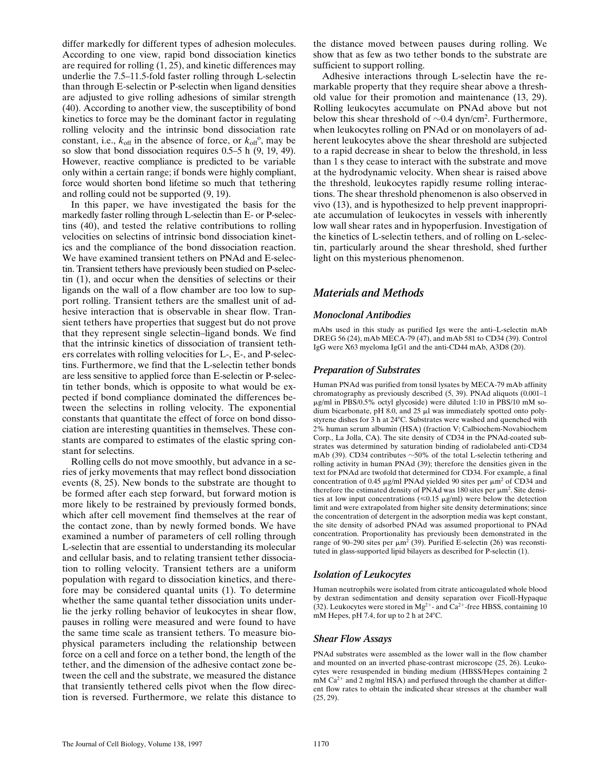differ markedly for different types of adhesion molecules. According to one view, rapid bond dissociation kinetics are required for rolling (1, 25), and kinetic differences may underlie the 7.5–11.5-fold faster rolling through L-selectin than through E-selectin or P-selectin when ligand densities are adjusted to give rolling adhesions of similar strength (40). According to another view, the susceptibility of bond kinetics to force may be the dominant factor in regulating rolling velocity and the intrinsic bond dissociation rate constant, i.e.,  $k_{\text{off}}$  in the absence of force, or  $k_{\text{off}}^{\circ}$ , may be so slow that bond dissociation requires 0.5–5 h (9, 19, 49). However, reactive compliance is predicted to be variable only within a certain range; if bonds were highly compliant, force would shorten bond lifetime so much that tethering and rolling could not be supported (9, 19).

In this paper, we have investigated the basis for the markedly faster rolling through L-selectin than E- or P-selectins (40), and tested the relative contributions to rolling velocities on selectins of intrinsic bond dissociation kinetics and the compliance of the bond dissociation reaction. We have examined transient tethers on PNAd and E-selectin. Transient tethers have previously been studied on P-selectin (1), and occur when the densities of selectins or their ligands on the wall of a flow chamber are too low to support rolling. Transient tethers are the smallest unit of adhesive interaction that is observable in shear flow. Transient tethers have properties that suggest but do not prove that they represent single selectin–ligand bonds. We find that the intrinsic kinetics of dissociation of transient tethers correlates with rolling velocities for L-, E-, and P-selectins. Furthermore, we find that the L-selectin tether bonds are less sensitive to applied force than E-selectin or P-selectin tether bonds, which is opposite to what would be expected if bond compliance dominated the differences between the selectins in rolling velocity. The exponential constants that quantitate the effect of force on bond dissociation are interesting quantities in themselves. These constants are compared to estimates of the elastic spring constant for selectins.

Rolling cells do not move smoothly, but advance in a series of jerky movements that may reflect bond dissociation events (8, 25). New bonds to the substrate are thought to be formed after each step forward, but forward motion is more likely to be restrained by previously formed bonds, which after cell movement find themselves at the rear of the contact zone, than by newly formed bonds. We have examined a number of parameters of cell rolling through L-selectin that are essential to understanding its molecular and cellular basis, and to relating transient tether dissociation to rolling velocity. Transient tethers are a uniform population with regard to dissociation kinetics, and therefore may be considered quantal units (1). To determine whether the same quantal tether dissociation units underlie the jerky rolling behavior of leukocytes in shear flow, pauses in rolling were measured and were found to have the same time scale as transient tethers. To measure biophysical parameters including the relationship between force on a cell and force on a tether bond, the length of the tether, and the dimension of the adhesive contact zone between the cell and the substrate, we measured the distance that transiently tethered cells pivot when the flow direction is reversed. Furthermore, we relate this distance to

the distance moved between pauses during rolling. We show that as few as two tether bonds to the substrate are sufficient to support rolling.

Adhesive interactions through L-selectin have the remarkable property that they require shear above a threshold value for their promotion and maintenance (13, 29). Rolling leukocytes accumulate on PNAd above but not below this shear threshold of  $\sim 0.4$  dyn/cm<sup>2</sup>. Furthermore, when leukocytes rolling on PNAd or on monolayers of adherent leukocytes above the shear threshold are subjected to a rapid decrease in shear to below the threshold, in less than 1 s they cease to interact with the substrate and move at the hydrodynamic velocity. When shear is raised above the threshold, leukocytes rapidly resume rolling interactions. The shear threshold phenomenon is also observed in vivo (13), and is hypothesized to help prevent inappropriate accumulation of leukocytes in vessels with inherently low wall shear rates and in hypoperfusion. Investigation of the kinetics of L-selectin tethers, and of rolling on L-selectin, particularly around the shear threshold, shed further light on this mysterious phenomenon.

## *Materials and Methods*

#### *Monoclonal Antibodies*

mAbs used in this study as purified Igs were the anti–L-selectin mAb DREG 56 (24), mAb MECA-79 (47), and mAb 581 to CD34 (39). Control IgG were X63 myeloma IgG1 and the anti-CD44 mAb, A3D8 (20).

#### *Preparation of Substrates*

Human PNAd was purified from tonsil lysates by MECA-79 mAb affinity chromatography as previously described (5, 39). PNAd aliquots (0.001–1 mg/ml in PBS/0.5% octyl glycoside) were diluted 1:10 in PBS/10 mM sodium bicarbonate, pH 8.0, and 25  $\mu$ l was immediately spotted onto polystyrene dishes for  $3 h$  at  $24^{\circ}$ C. Substrates were washed and quenched with 2% human serum albumin (HSA) (fraction V; Calbiochem-Novabiochem Corp., La Jolla, CA). The site density of CD34 in the PNAd-coated substrates was determined by saturation binding of radiolabeled anti-CD34 mAb (39). CD34 contributes  $\sim$  50% of the total L-selectin tethering and rolling activity in human PNAd (39); therefore the densities given in the text for PNAd are twofold that determined for CD34. For example, a final concentration of 0.45  $\mu$ g/ml PNAd yielded 90 sites per  $\mu$ m<sup>2</sup> of CD34 and therefore the estimated density of PNAd was 180 sites per  $\mu$ m<sup>2</sup>. Site densities at low input concentrations ( $\leq 0.15 \mu g/ml$ ) were below the detection limit and were extrapolated from higher site density determinations; since the concentration of detergent in the adsorption media was kept constant, the site density of adsorbed PNAd was assumed proportional to PNAd concentration. Proportionality has previously been demonstrated in the range of 90–290 sites per  $\mu$ m<sup>2</sup> (39). Purified E-selectin (26) was reconstituted in glass-supported lipid bilayers as described for P-selectin (1).

### *Isolation of Leukocytes*

Human neutrophils were isolated from citrate anticoagulated whole blood by dextran sedimentation and density separation over Ficoll-Hypaque (32). Leukocytes were stored in  $Mg^{2+}$ - and Ca<sup>2+</sup>-free HBSS, containing 10 mM Hepes, pH 7.4, for up to 2 h at  $24^{\circ}$ C.

#### *Shear Flow Assays*

PNAd substrates were assembled as the lower wall in the flow chamber and mounted on an inverted phase-contrast microscope (25, 26). Leukocytes were resuspended in binding medium (HBSS/Hepes containing 2 mM  $Ca^{2+}$  and 2 mg/ml HSA) and perfused through the chamber at different flow rates to obtain the indicated shear stresses at the chamber wall (25, 29).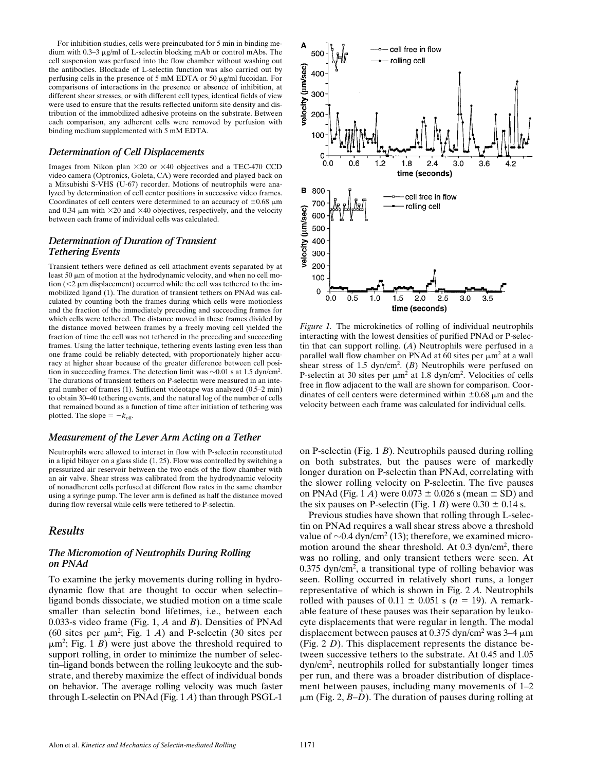For inhibition studies, cells were preincubated for 5 min in binding medium with 0.3–3 µg/ml of L-selectin blocking mAb or control mAbs. The cell suspension was perfused into the flow chamber without washing out the antibodies. Blockade of L-selectin function was also carried out by perfusing cells in the presence of 5 mM EDTA or 50  $\mu$ g/ml fucoidan. For comparisons of interactions in the presence or absence of inhibition, at different shear stresses, or with different cell types, identical fields of view were used to ensure that the results reflected uniform site density and distribution of the immobilized adhesive proteins on the substrate. Between each comparison, any adherent cells were removed by perfusion with binding medium supplemented with 5 mM EDTA.

#### *Determination of Cell Displacements*

Images from Nikon plan  $\times 20$  or  $\times 40$  objectives and a TEC-470 CCD video camera (Optronics, Goleta, CA) were recorded and played back on a Mitsubishi S-VHS (U-67) recorder. Motions of neutrophils were analyzed by determination of cell center positions in successive video frames. Coordinates of cell centers were determined to an accuracy of  $\pm 0.68 \mu m$ and 0.34  $\mu$ m with  $\times$ 20 and  $\times$ 40 objectives, respectively, and the velocity between each frame of individual cells was calculated.

### *Determination of Duration of Transient Tethering Events*

Transient tethers were defined as cell attachment events separated by at least 50  $\mu$ m of motion at the hydrodynamic velocity, and when no cell motion  $(<$ 2  $\mu$ m displacement) occurred while the cell was tethered to the immobilized ligand (1). The duration of transient tethers on PNAd was calculated by counting both the frames during which cells were motionless and the fraction of the immediately preceding and succeeding frames for which cells were tethered. The distance moved in these frames divided by the distance moved between frames by a freely moving cell yielded the fraction of time the cell was not tethered in the preceding and succeeding frames. Using the latter technique, tethering events lasting even less than one frame could be reliably detected, with proportionately higher accuracy at higher shear because of the greater difference between cell position in succeeding frames. The detection limit was  $\sim 0.01$  s at 1.5 dyn/cm<sup>2</sup>. The durations of transient tethers on P-selectin were measured in an integral number of frames (1). Sufficient videotape was analyzed (0.5–2 min) to obtain 30–40 tethering events, and the natural log of the number of cells that remained bound as a function of time after initiation of tethering was plotted. The slope  $= -k_{\text{off}}$ .

## *Measurement of the Lever Arm Acting on a Tether*

Neutrophils were allowed to interact in flow with P-selectin reconstituted in a lipid bilayer on a glass slide (1, 25). Flow was controlled by switching a pressurized air reservoir between the two ends of the flow chamber with an air valve. Shear stress was calibrated from the hydrodynamic velocity of nonadherent cells perfused at different flow rates in the same chamber using a syringe pump. The lever arm is defined as half the distance moved during flow reversal while cells were tethered to P-selectin.

## *Results*

#### *The Micromotion of Neutrophils During Rolling on PNAd*

To examine the jerky movements during rolling in hydrodynamic flow that are thought to occur when selectin– ligand bonds dissociate, we studied motion on a time scale smaller than selectin bond lifetimes, i.e., between each 0.033-s video frame (Fig. 1, *A* and *B*). Densities of PNAd (60 sites per  $\mu$ m<sup>2</sup>; Fig. 1 *A*) and P-selectin (30 sites per  $\mu$ m<sup>2</sup>; Fig. 1 *B*) were just above the threshold required to support rolling, in order to minimize the number of selectin–ligand bonds between the rolling leukocyte and the substrate, and thereby maximize the effect of individual bonds on behavior. The average rolling velocity was much faster through L-selectin on PNAd (Fig. 1 *A*) than through PSGL-1



*Figure 1.* The microkinetics of rolling of individual neutrophils interacting with the lowest densities of purified PNAd or P-selectin that can support rolling. (*A*) Neutrophils were perfused in a parallel wall flow chamber on PNAd at 60 sites per  $\mu$ m<sup>2</sup> at a wall shear stress of 1.5 dyn/cm2 . (*B*) Neutrophils were perfused on P-selectin at 30 sites per  $\mu$ m<sup>2</sup> at 1.8 dyn/cm<sup>2</sup>. Velocities of cells free in flow adjacent to the wall are shown for comparison. Coordinates of cell centers were determined within  $\pm 0.68$  µm and the velocity between each frame was calculated for individual cells.

on P-selectin (Fig. 1 *B*). Neutrophils paused during rolling on both substrates, but the pauses were of markedly longer duration on P-selectin than PNAd, correlating with the slower rolling velocity on P-selectin. The five pauses on PNAd (Fig. 1 *A*) were  $0.073 \pm 0.026$  s (mean  $\pm$  SD) and the six pauses on P-selectin (Fig. 1 *B*) were  $0.30 \pm 0.14$  s.

Previous studies have shown that rolling through L-selectin on PNAd requires a wall shear stress above a threshold value of  $\sim$ 0.4 dyn/cm<sup>2</sup> (13); therefore, we examined micromotion around the shear threshold. At  $0.3 \text{ dyn/cm}^2$ , there was no rolling, and only transient tethers were seen. At 0.375 dyn/cm<sup>2</sup>, a transitional type of rolling behavior was seen. Rolling occurred in relatively short runs, a longer representative of which is shown in Fig. 2 *A.* Neutrophils rolled with pauses of  $0.11 \pm 0.051$  s ( $n = 19$ ). A remarkable feature of these pauses was their separation by leukocyte displacements that were regular in length. The modal displacement between pauses at 0.375 dyn/cm<sup>2</sup> was 3–4  $\mu$ m (Fig. 2 *D*). This displacement represents the distance between successive tethers to the substrate. At 0.45 and 1.05 dyn/cm2 , neutrophils rolled for substantially longer times per run, and there was a broader distribution of displacement between pauses, including many movements of 1–2  $\mu$ m (Fig. 2, *B–D*). The duration of pauses during rolling at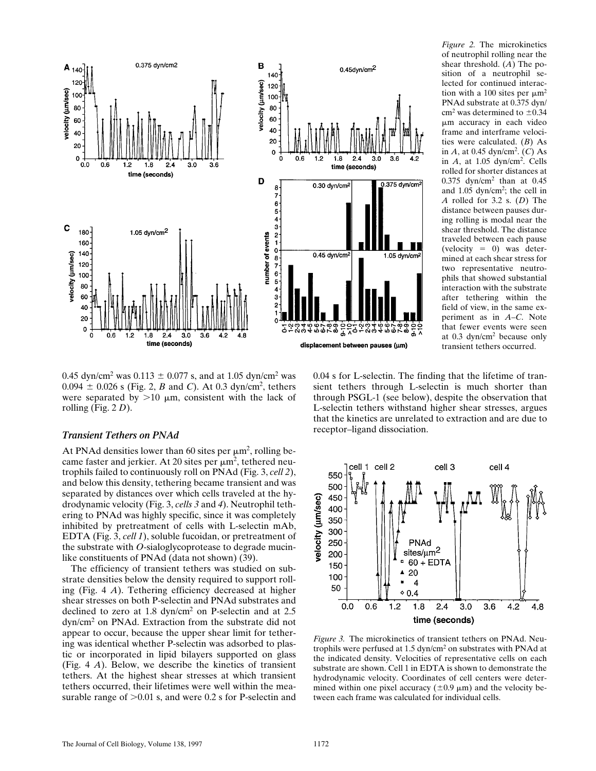

of neutrophil rolling near the shear threshold. (*A*) The position of a neutrophil selected for continued interaction with a 100 sites per  $\mu$ m<sup>2</sup> PNAd substrate at 0.375 dyn/  $\text{cm}^2$  was determined to  $\pm 0.34$ mm accuracy in each video frame and interframe velocities were calculated. (*B*) As in *A*, at 0.45 dyn/cm2 . (*C*) As in  $A$ , at  $1.05$  dyn/cm<sup>2</sup>. Cells rolled for shorter distances at  $0.375$  dyn/cm<sup>2</sup> than at  $0.45$ and 1.05 dyn/cm2 ; the cell in *A* rolled for 3.2 s. (*D*) The distance between pauses during rolling is modal near the shear threshold. The distance traveled between each pause (velocity  $= 0$ ) was determined at each shear stress for two representative neutrophils that showed substantial interaction with the substrate after tethering within the field of view, in the same experiment as in *A*–*C*. Note that fewer events were seen at 0.3 dyn/cm2 because only transient tethers occurred.

0.45 dyn/cm<sup>2</sup> was  $0.113 \pm 0.077$  s, and at 1.05 dyn/cm<sup>2</sup> was  $0.094 \pm 0.026$  s (Fig. 2, *B* and *C*). At 0.3 dyn/cm<sup>2</sup>, tethers were separated by  $>10 \mu$ m, consistent with the lack of rolling (Fig. 2 *D*).

## *Transient Tethers on PNAd*

At PNAd densities lower than 60 sites per  $\mu$ m<sup>2</sup>, rolling became faster and jerkier. At 20 sites per  $\mu$ m<sup>2</sup>, tethered neutrophils failed to continuously roll on PNAd (Fig. 3, *cell 2*), and below this density, tethering became transient and was separated by distances over which cells traveled at the hydrodynamic velocity (Fig. 3, *cells 3* and *4*). Neutrophil tethering to PNAd was highly specific, since it was completely inhibited by pretreatment of cells with L-selectin mAb, EDTA (Fig. 3, *cell 1*), soluble fucoidan, or pretreatment of the substrate with *O*-sialoglycoprotease to degrade mucinlike constituents of PNAd (data not shown) (39).

The efficiency of transient tethers was studied on substrate densities below the density required to support rolling (Fig. 4 *A*). Tethering efficiency decreased at higher shear stresses on both P-selectin and PNAd substrates and declined to zero at 1.8 dyn/cm<sup>2</sup> on P-selectin and at 2.5 dyn/cm2 on PNAd. Extraction from the substrate did not appear to occur, because the upper shear limit for tethering was identical whether P-selectin was adsorbed to plastic or incorporated in lipid bilayers supported on glass (Fig. 4 *A*). Below, we describe the kinetics of transient tethers. At the highest shear stresses at which transient tethers occurred, their lifetimes were well within the measurable range of  $>0.01$  s, and were 0.2 s for P-selectin and 0.04 s for L-selectin. The finding that the lifetime of transient tethers through L-selectin is much shorter than through PSGL-1 (see below), despite the observation that L-selectin tethers withstand higher shear stresses, argues that the kinetics are unrelated to extraction and are due to receptor–ligand dissociation.



*Figure 3.* The microkinetics of transient tethers on PNAd. Neutrophils were perfused at  $1.5 \text{ dyn/cm}^2$  on substrates with PNAd at the indicated density. Velocities of representative cells on each substrate are shown. Cell 1 in EDTA is shown to demonstrate the hydrodynamic velocity. Coordinates of cell centers were determined within one pixel accuracy ( $\pm 0.9 \mu$ m) and the velocity between each frame was calculated for individual cells.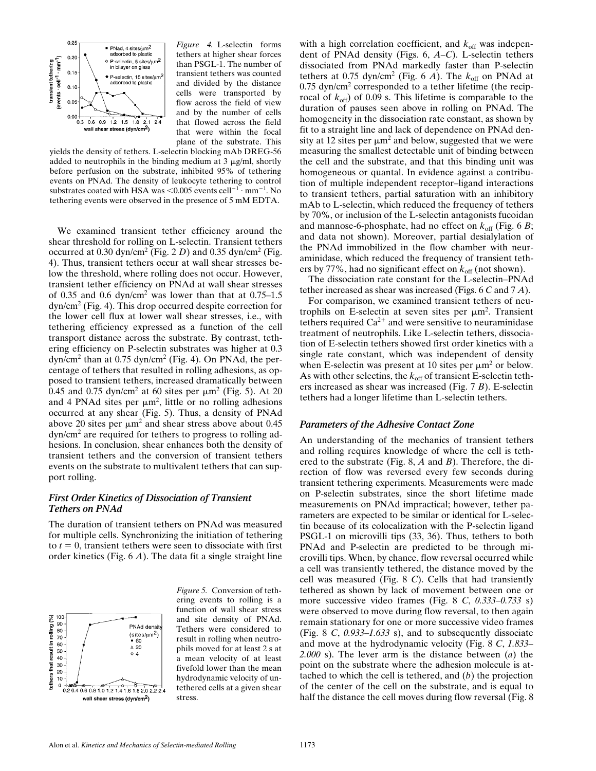

*Figure 4.* L-selectin forms tethers at higher shear forces than PSGL-1. The number of transient tethers was counted and divided by the distance cells were transported by flow across the field of view and by the number of cells that flowed across the field that were within the focal plane of the substrate. This

yields the density of tethers. L-selectin blocking mAb DREG-56 added to neutrophils in the binding medium at  $3 \mu g/ml$ , shortly before perfusion on the substrate, inhibited 95% of tethering events on PNAd. The density of leukocyte tethering to control substrates coated with HSA was <0.005 events cell $^{-1} \cdot \text{mm}^{-1}$ . No tethering events were observed in the presence of 5 mM EDTA.

We examined transient tether efficiency around the shear threshold for rolling on L-selectin. Transient tethers occurred at  $0.30 \text{ dyn/cm}^2$  (Fig. 2 D) and  $0.35 \text{ dyn/cm}^2$  (Fig. 4). Thus, transient tethers occur at wall shear stresses below the threshold, where rolling does not occur. However, transient tether efficiency on PNAd at wall shear stresses of 0.35 and 0.6 dyn/cm<sup>2</sup> was lower than that at  $0.75-1.5$ dyn/cm2 (Fig. 4). This drop occurred despite correction for the lower cell flux at lower wall shear stresses, i.e., with tethering efficiency expressed as a function of the cell transport distance across the substrate. By contrast, tethering efficiency on P-selectin substrates was higher at 0.3 dyn/cm<sup>2</sup> than at 0.75 dyn/cm<sup>2</sup> (Fig. 4). On PNAd, the percentage of tethers that resulted in rolling adhesions, as opposed to transient tethers, increased dramatically between 0.45 and 0.75 dyn/cm<sup>2</sup> at 60 sites per  $\mu$ m<sup>2</sup> (Fig. 5). At 20 and 4 PNAd sites per  $\mu$ m<sup>2</sup>, little or no rolling adhesions occurred at any shear (Fig. 5). Thus, a density of PNAd above 20 sites per  $\mu$ m<sup>2</sup> and shear stress above about 0.45 dyn/cm2 are required for tethers to progress to rolling adhesions. In conclusion, shear enhances both the density of transient tethers and the conversion of transient tethers events on the substrate to multivalent tethers that can support rolling.

## *First Order Kinetics of Dissociation of Transient Tethers on PNAd*

The duration of transient tethers on PNAd was measured for multiple cells. Synchronizing the initiation of tethering to  $t = 0$ , transient tethers were seen to dissociate with first order kinetics (Fig. 6 *A*). The data fit a single straight line



*Figure 5.* Conversion of tethering events to rolling is a function of wall shear stress and site density of PNAd. Tethers were considered to result in rolling when neutrophils moved for at least 2 s at a mean velocity of at least fivefold lower than the mean hydrodynamic velocity of untethered cells at a given shear stress.

with a high correlation coefficient, and  $k_{\text{off}}$  was independent of PNAd density (Figs. 6, *A*–*C*). L-selectin tethers dissociated from PNAd markedly faster than P-selectin tethers at  $0.75 \text{ dyn/cm}^2$  (Fig. 6 *A*). The  $k_{\text{off}}$  on PNAd at  $0.75 \text{ dyn/cm}^2$  corresponded to a tether lifetime (the reciprocal of  $k_{\text{off}}$ ) of 0.09 s. This lifetime is comparable to the duration of pauses seen above in rolling on PNAd. The homogeneity in the dissociation rate constant, as shown by fit to a straight line and lack of dependence on PNAd density at 12 sites per  $\mu$ m<sup>2</sup> and below, suggested that we were measuring the smallest detectable unit of binding between the cell and the substrate, and that this binding unit was homogeneous or quantal. In evidence against a contribution of multiple independent receptor–ligand interactions to transient tethers, partial saturation with an inhibitory mAb to L-selectin, which reduced the frequency of tethers by 70%, or inclusion of the L-selectin antagonists fucoidan and mannose-6-phosphate, had no effect on  $k_{off}$  (Fig. 6 *B*; and data not shown). Moreover, partial desialylation of the PNAd immobilized in the flow chamber with neuraminidase, which reduced the frequency of transient tethers by 77%, had no significant effect on  $k_{\text{off}}$  (not shown).

The dissociation rate constant for the L-selectin–PNAd tether increased as shear was increased (Figs. 6 *C* and 7 *A*).

For comparison, we examined transient tethers of neutrophils on E-selectin at seven sites per  $\mu$ m<sup>2</sup>. Transient tethers required  $Ca^{2+}$  and were sensitive to neuraminidase treatment of neutrophils. Like L-selectin tethers, dissociation of E-selectin tethers showed first order kinetics with a single rate constant, which was independent of density when E-selectin was present at 10 sites per  $\mu$ m<sup>2</sup> or below. As with other selectins, the  $k_{\text{off}}$  of transient E-selectin tethers increased as shear was increased (Fig. 7 *B*). E-selectin tethers had a longer lifetime than L-selectin tethers.

#### *Parameters of the Adhesive Contact Zone*

An understanding of the mechanics of transient tethers and rolling requires knowledge of where the cell is tethered to the substrate (Fig. 8, *A* and *B*). Therefore, the direction of flow was reversed every few seconds during transient tethering experiments. Measurements were made on P-selectin substrates, since the short lifetime made measurements on PNAd impractical; however, tether parameters are expected to be similar or identical for L-selectin because of its colocalization with the P-selectin ligand PSGL-1 on microvilli tips (33, 36). Thus, tethers to both PNAd and P-selectin are predicted to be through microvilli tips. When, by chance, flow reversal occurred while a cell was transiently tethered, the distance moved by the cell was measured (Fig. 8 *C*). Cells that had transiently tethered as shown by lack of movement between one or more successive video frames (Fig. 8 *C*, *0.333–0.733* s) were observed to move during flow reversal, to then again remain stationary for one or more successive video frames (Fig. 8 *C*, *0.933–1.633* s), and to subsequently dissociate and move at the hydrodynamic velocity (Fig. 8 *C*, *1.833– 2.000* s). The lever arm is the distance between (*a*) the point on the substrate where the adhesion molecule is attached to which the cell is tethered, and (*b*) the projection of the center of the cell on the substrate, and is equal to half the distance the cell moves during flow reversal (Fig. 8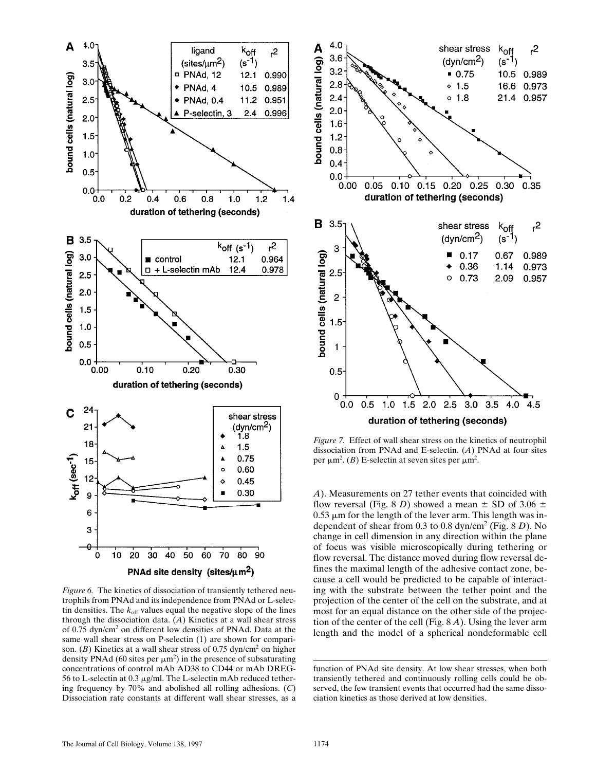

*Figure 6.* The kinetics of dissociation of transiently tethered neutrophils from PNAd and its independence from PNAd or L-selectin densities. The  $k_{\text{off}}$  values equal the negative slope of the lines through the dissociation data. (*A*) Kinetics at a wall shear stress of 0.75 dyn/cm2 on different low densities of PNAd. Data at the same wall shear stress on P-selectin (1) are shown for comparison. (*B*) Kinetics at a wall shear stress of 0.75 dyn/cm<sup>2</sup> on higher density PNAd (60 sites per  $\mu$ m<sup>2</sup>) in the presence of subsaturating concentrations of control mAb AD38 to CD44 or mAb DREG-56 to L-selectin at 0.3  $\mu$ g/ml. The L-selectin mAb reduced tethering frequency by 70% and abolished all rolling adhesions. (*C*) Dissociation rate constants at different wall shear stresses, as a



*Figure 7.* Effect of wall shear stress on the kinetics of neutrophil dissociation from PNAd and E-selectin. (*A*) PNAd at four sites per  $\mu$ m<sup>2</sup>. (*B*) E-selectin at seven sites per  $\mu$ m<sup>2</sup>.

*A*). Measurements on 27 tether events that coincided with flow reversal (Fig. 8 D) showed a mean  $\pm$  SD of 3.06  $\pm$  $0.53 \mu m$  for the length of the lever arm. This length was independent of shear from 0.3 to 0.8 dyn/cm2 (Fig. 8 *D*). No change in cell dimension in any direction within the plane of focus was visible microscopically during tethering or flow reversal. The distance moved during flow reversal defines the maximal length of the adhesive contact zone, because a cell would be predicted to be capable of interacting with the substrate between the tether point and the projection of the center of the cell on the substrate, and at most for an equal distance on the other side of the projection of the center of the cell (Fig. 8 *A*). Using the lever arm length and the model of a spherical nondeformable cell

function of PNAd site density. At low shear stresses, when both transiently tethered and continuously rolling cells could be observed, the few transient events that occurred had the same dissociation kinetics as those derived at low densities.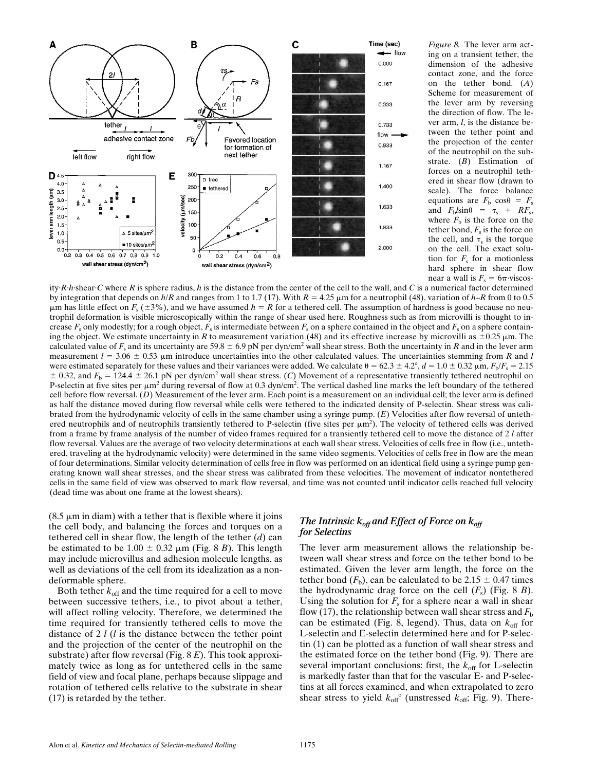

*Figure 8.* The lever arm acting on a transient tether, the dimension of the adhesive contact zone, and the force on the tether bond. (*A*) Scheme for measurement of the lever arm by reversing the direction of flow. The lever arm, *l*, is the distance between the tether point and the projection of the center of the neutrophil on the substrate. (*B*) Estimation of forces on a neutrophil tethered in shear flow (drawn to scale). The force balance equations are  $F<sub>b</sub> \cos\theta = F<sub>s</sub>$ and  $F<sub>b</sub>$ *lsin* $\theta = \tau_s + RF_s$ , where  $F<sub>b</sub>$  is the force on the tether bond,  $F<sub>s</sub>$  is the force on the cell, and  $\tau_s$  is the torque on the cell. The exact solution for  $F<sub>s</sub>$  for a motionless hard sphere in shear flow near a wall is  $F_s = 6\pi$ ·viscos-

ity·*R*·*h*·shear·*C* where *R* is sphere radius, *h* is the distance from the center of the cell to the wall, and *C* is a numerical factor determined by integration that depends on  $h/R$  and ranges from 1 to 1.7 (17). With  $R = 4.25 \mu m$  for a neutrophil (48), variation of  $h-R$  from 0 to 0.5  $\mu$ m has little effect on  $F_s$  ( $\pm 3\%$ ), and we have assumed  $h = R$  for a tethered cell. The assumption of hardness is good because no neutrophil deformation is visible microscopically within the range of shear used here. Roughness such as from microvilli is thought to increase  $F_s$  only modestly; for a rough object,  $F_s$  is intermediate between  $F_s$  on a sphere contained in the object and  $F_s$  on a sphere containing the object. We estimate uncertainty in *R* to measurement variation (48) and its effective increase by microvilli as  $\pm 0.25 \mu m$ . The calculated value of  $F_s$  and its uncertainty are 59.8  $\pm$  6.9 pN per dyn/cm<sup>2</sup> wall shear stress. Both the uncertainty in *R* and in the lever arm measurement  $l = 3.06 \pm 0.53$   $\mu$ m introduce uncertainties into the other calculated values. The uncertainties stemming from *R* and *l* were estimated separately for these values and their variances were added. We calculate  $\theta = 62.3 \pm 4.2^{\circ}$ ,  $d = 1.0 \pm 0.32$   $\mu$ m,  $F_{p}/F_{s} = 2.15$  $\pm$  0.32, and  $F_b$  = 124.4  $\pm$  26.1 pN per dyn/cm<sup>2</sup> wall shear stress. (*C*) Movement of a representative transiently tethered neutrophil on P-selectin at five sites per  $\mu$ m<sup>2</sup> during reversal of flow at 0.3 dyn/cm<sup>2</sup>. The vertical dashed line marks the left boundary of the tethered cell before flow reversal. (*D*) Measurement of the lever arm. Each point is a measurement on an individual cell; the lever arm is defined as half the distance moved during flow reversal while cells were tethered to the indicated density of P-selectin. Shear stress was calibrated from the hydrodynamic velocity of cells in the same chamber using a syringe pump. (*E*) Velocities after flow reversal of untethered neutrophils and of neutrophils transiently tethered to P-selectin (five sites per  $\mu$ m<sup>2</sup>). The velocity of tethered cells was derived from a frame by frame analysis of the number of video frames required for a transiently tethered cell to move the distance of 2 *l* after flow reversal. Values are the average of two velocity determinations at each wall shear stress. Velocities of cells free in flow (i.e., untethered, traveling at the hydrodynamic velocity) were determined in the same video segments. Velocities of cells free in flow are the mean of four determinations. Similar velocity determination of cells free in flow was performed on an identical field using a syringe pump generating known wall shear stresses, and the shear stress was calibrated from these velocities. The movement of indicator nontethered cells in the same field of view was observed to mark flow reversal, and time was not counted until indicator cells reached full velocity (dead time was about one frame at the lowest shears).

 $(8.5 \mu m)$  in diam) with a tether that is flexible where it joins the cell body, and balancing the forces and torques on a tethered cell in shear flow, the length of the tether (*d*) can be estimated to be  $1.00 \pm 0.32 \mu m$  (Fig. 8 *B*). This length may include microvillus and adhesion molecule lengths, as well as deviations of the cell from its idealization as a nondeformable sphere.

Both tether  $k_{\text{off}}$  and the time required for a cell to move between successive tethers, i.e., to pivot about a tether, will affect rolling velocity. Therefore, we determined the time required for transiently tethered cells to move the distance of 2 *l* (*l* is the distance between the tether point and the projection of the center of the neutrophil on the substrate) after flow reversal (Fig. 8 *E*). This took approximately twice as long as for untethered cells in the same field of view and focal plane, perhaps because slippage and rotation of tethered cells relative to the substrate in shear (17) is retarded by the tether.

## *The Intrinsic*  $k_{\text{off}}$  *and Effect of Force on*  $k_{\text{off}}$ *for Selectins*

The lever arm measurement allows the relationship between wall shear stress and force on the tether bond to be estimated. Given the lever arm length, the force on the tether bond  $(F<sub>b</sub>)$ , can be calculated to be 2.15  $\pm$  0.47 times the hydrodynamic drag force on the cell  $(F_s)$  (Fig. 8 *B*). Using the solution for  $F<sub>s</sub>$  for a sphere near a wall in shear flow (17), the relationship between wall shear stress and  $F<sub>b</sub>$ can be estimated (Fig. 8, legend). Thus, data on  $k_{\text{off}}$  for L-selectin and E-selectin determined here and for P-selectin (1) can be plotted as a function of wall shear stress and the estimated force on the tether bond (Fig. 9). There are several important conclusions: first, the  $k_{\text{off}}$  for L-selectin is markedly faster than that for the vascular E- and P-selectins at all forces examined, and when extrapolated to zero shear stress to yield  $k_{off}$ <sup>°</sup> (unstressed  $k_{off}$ ; Fig. 9). There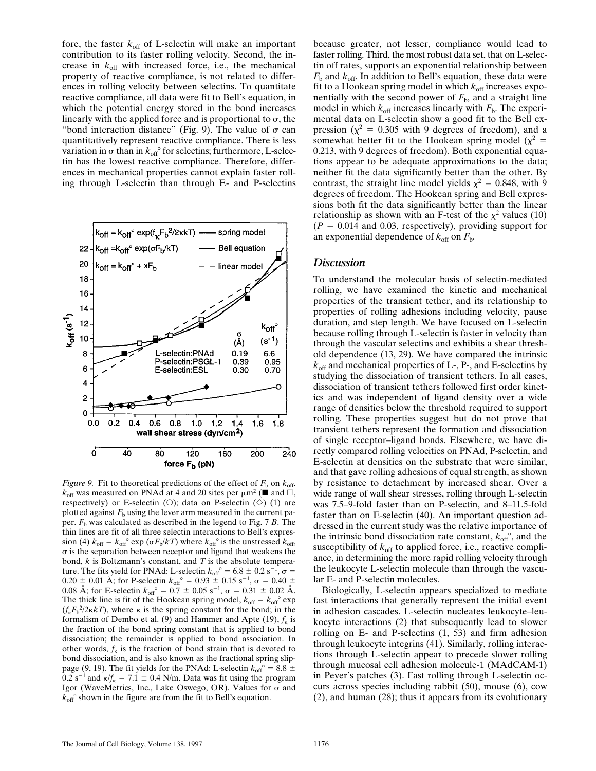fore, the faster  $k_{\text{off}}$  of L-selectin will make an important contribution to its faster rolling velocity. Second, the increase in  $k_{\text{off}}$  with increased force, i.e., the mechanical property of reactive compliance, is not related to differences in rolling velocity between selectins. To quantitate reactive compliance, all data were fit to Bell's equation, in which the potential energy stored in the bond increases linearly with the applied force and is proportional to  $\sigma$ , the "bond interaction distance" (Fig. 9). The value of  $\sigma$  can quantitatively represent reactive compliance. There is less variation in  $\sigma$  than in  $k_{\text{off}}$ <sup>o</sup> for selectins; furthermore, L-selectin has the lowest reactive compliance. Therefore, differences in mechanical properties cannot explain faster rolling through L-selectin than through E- and P-selectins



*Figure 9.* Fit to theoretical predictions of the effect of  $F<sub>b</sub>$  on  $k_{\text{off}}$ .  $k_{\text{off}}$  was measured on PNAd at 4 and 20 sites per  $\mu$ m<sup>2</sup> ( $\blacksquare$  and  $\Box$ , respectively) or E-selectin (O); data on P-selectin ( $\Diamond$ ) (1) are plotted against  $F<sub>b</sub>$  using the lever arm measured in the current paper.  $F<sub>b</sub>$  was calculated as described in the legend to Fig. 7 *B*. The thin lines are fit of all three selectin interactions to Bell's expression (4)  $k_{\text{off}} = k_{\text{off}}^{\circ} \exp \left( \frac{\sigma F_b}{kT} \right)$  where  $k_{\text{off}}^{\circ}$  is the unstressed  $k_{\text{off}}$ ,  $\sigma$  is the separation between receptor and ligand that weakens the bond, *k* is Boltzmann's constant, and *T* is the absolute temperature. The fits yield for PNAd: L-selectin  $k_{off}^{\circ} = 6.8 \pm 0.2 \text{ s}^{-1}$ ,  $\sigma =$  $0.20 \pm 0.01$  Å; for P-selectin  $k_{off}^{\circ} = 0.93 \pm 0.15$  s<sup>-1</sup>,  $\sigma = 0.40 \pm 0.15$ 0.08 Å; for E-selectin  $k_{off}^{\circ} = 0.7 \pm 0.05 \text{ s}^{-1}$ ,  $\sigma = 0.31 \pm 0.02 \text{ Å}$ . The thick line is fit of the Hookean spring model,  $k_{\text{off}} = k_{\text{off}}^{\circ} \exp$  $(f_{\kappa}F_b^2/2\kappa kT)$ , where  $\kappa$  is the spring constant for the bond; in the formalism of Dembo et al. (9) and Hammer and Apte (19),  $f_k$  is the fraction of the bond spring constant that is applied to bond dissociation; the remainder is applied to bond association. In other words,  $f_k$  is the fraction of bond strain that is devoted to bond dissociation, and is also known as the fractional spring slippage (9, 19). The fit yields for the PNAd: L-selectin  $k_{\text{off}}^{\circ} = 8.8 \pm$ 0.2 s<sup>-1</sup> and  $\kappa/f_{\kappa} = 7.1 \pm 0.4$  N/m. Data was fit using the program Igor (WaveMetrics, Inc., Lake Oswego, OR). Values for  $\sigma$  and  $k_{\text{off}}$ <sup>o</sup> shown in the figure are from the fit to Bell's equation.

because greater, not lesser, compliance would lead to faster rolling. Third, the most robust data set, that on L-selectin off rates, supports an exponential relationship between  $F<sub>b</sub>$  and  $k<sub>off</sub>$ . In addition to Bell's equation, these data were fit to a Hookean spring model in which  $k_{\text{off}}$  increases exponentially with the second power of  $F<sub>b</sub>$ , and a straight line model in which  $k_{\text{off}}$  increases linearly with  $F_{\text{b}}$ . The experimental data on L-selectin show a good fit to the Bell expression ( $\chi^2$  = 0.305 with 9 degrees of freedom), and a somewhat better fit to the Hookean spring model ( $\chi^2$  = 0.213, with 9 degrees of freedom). Both exponential equations appear to be adequate approximations to the data; neither fit the data significantly better than the other. By contrast, the straight line model yields  $\chi^2 = 0.848$ , with 9 degrees of freedom. The Hookean spring and Bell expressions both fit the data significantly better than the linear relationship as shown with an F-test of the  $\chi^2$  values (10)  $(P = 0.014$  and 0.03, respectively), providing support for an exponential dependence of  $k_{off}$  on  $F_{\rm b}$ .

### *Discussion*

To understand the molecular basis of selectin-mediated rolling, we have examined the kinetic and mechanical properties of the transient tether, and its relationship to properties of rolling adhesions including velocity, pause duration, and step length. We have focused on L-selectin because rolling through L-selectin is faster in velocity than through the vascular selectins and exhibits a shear threshold dependence (13, 29). We have compared the intrinsic  $k_{\text{off}}$  and mechanical properties of L-, P-, and E-selectins by studying the dissociation of transient tethers. In all cases, dissociation of transient tethers followed first order kinetics and was independent of ligand density over a wide range of densities below the threshold required to support rolling. These properties suggest but do not prove that transient tethers represent the formation and dissociation of single receptor–ligand bonds. Elsewhere, we have directly compared rolling velocities on PNAd, P-selectin, and E-selectin at densities on the substrate that were similar, and that gave rolling adhesions of equal strength, as shown by resistance to detachment by increased shear. Over a wide range of wall shear stresses, rolling through L-selectin was 7.5–9-fold faster than on P-selectin, and 8–11.5-fold faster than on E-selectin (40). An important question addressed in the current study was the relative importance of the intrinsic bond dissociation rate constant,  $k_{\text{off}}^{\circ}$ , and the susceptibility of  $k_{\text{off}}$  to applied force, i.e., reactive compliance, in determining the more rapid rolling velocity through the leukocyte L-selectin molecule than through the vascular E- and P-selectin molecules.

Biologically, L-selectin appears specialized to mediate fast interactions that generally represent the initial event in adhesion cascades. L-selectin nucleates leukocyte–leukocyte interactions (2) that subsequently lead to slower rolling on E- and P-selectins (1, 53) and firm adhesion through leukocyte integrins (41). Similarly, rolling interactions through L-selectin appear to precede slower rolling through mucosal cell adhesion molecule-1 (MAdCAM-1) in Peyer's patches (3). Fast rolling through L-selectin occurs across species including rabbit (50), mouse (6), cow (2), and human (28); thus it appears from its evolutionary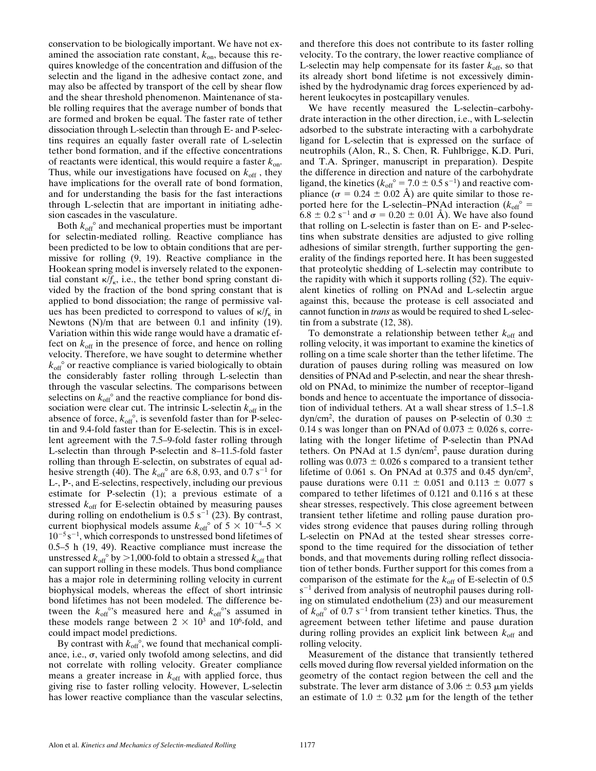conservation to be biologically important. We have not examined the association rate constant,  $k_{\text{on}}$ , because this requires knowledge of the concentration and diffusion of the selectin and the ligand in the adhesive contact zone, and may also be affected by transport of the cell by shear flow and the shear threshold phenomenon. Maintenance of stable rolling requires that the average number of bonds that are formed and broken be equal. The faster rate of tether dissociation through L-selectin than through E- and P-selectins requires an equally faster overall rate of L-selectin tether bond formation, and if the effective concentrations of reactants were identical, this would require a faster  $k_{on}$ . Thus, while our investigations have focused on  $k_{\text{off}}$ , they have implications for the overall rate of bond formation, and for understanding the basis for the fast interactions through L-selectin that are important in initiating adhesion cascades in the vasculature.

Both  $k_{off}$ <sup>°</sup> and mechanical properties must be important for selectin-mediated rolling. Reactive compliance has been predicted to be low to obtain conditions that are permissive for rolling (9, 19). Reactive compliance in the Hookean spring model is inversely related to the exponential constant  $\kappa/f_k$ , i.e., the tether bond spring constant divided by the fraction of the bond spring constant that is applied to bond dissociation; the range of permissive values has been predicted to correspond to values of  $\kappa/f_{\kappa}$  in Newtons (N)/m that are between 0.1 and infinity (19). Variation within this wide range would have a dramatic effect on  $k_{\text{off}}$  in the presence of force, and hence on rolling velocity. Therefore, we have sought to determine whether  $k_{\text{off}}$ <sup> $\circ$ </sup> or reactive compliance is varied biologically to obtain the considerably faster rolling through L-selectin than through the vascular selectins. The comparisons between selectins on  $k_{\text{off}}^{\circ}$  and the reactive compliance for bond dissociation were clear cut. The intrinsic L-selectin  $k_{\text{off}}$  in the absence of force,  $k_{\text{off}}^{\circ}$ , is sevenfold faster than for P-selectin and 9.4-fold faster than for E-selectin. This is in excellent agreement with the 7.5–9-fold faster rolling through L-selectin than through P-selectin and 8–11.5-fold faster rolling than through E-selectin, on substrates of equal adhesive strength (40). The  $k_{\text{off}}^{\circ}$  are 6.8, 0.93, and 0.7 s<sup>-1</sup> for L-, P-, and E-selectins, respectively, including our previous estimate for P-selectin (1); a previous estimate of a stressed  $k_{\text{off}}$  for E-selectin obtained by measuring pauses during rolling on endothelium is  $0.5 s^{-1}$  (23). By contrast, current biophysical models assume  $k_{off}^{\circ}$  of  $5 \times 10^{-4} - 5 \times$  $10^{-5}$  s<sup>-1</sup>, which corresponds to unstressed bond lifetimes of 0.5–5 h (19, 49). Reactive compliance must increase the unstressed  $k_{off}^{\circ}$  by >1,000-fold to obtain a stressed  $k_{off}$  that can support rolling in these models. Thus bond compliance has a major role in determining rolling velocity in current biophysical models, whereas the effect of short intrinsic bond lifetimes has not been modeled. The difference between the  $k_{off}^{\circ}$ 's measured here and  $k_{off}^{\circ}$ 's assumed in these models range between  $2 \times 10^3$  and 10<sup>6</sup>-fold, and could impact model predictions.

By contrast with  $k_{\text{off}}^{\circ}$ , we found that mechanical compliance, i.e.,  $\sigma$ , varied only twofold among selectins, and did not correlate with rolling velocity. Greater compliance means a greater increase in  $k_{\text{off}}$  with applied force, thus giving rise to faster rolling velocity. However, L-selectin has lower reactive compliance than the vascular selectins,

and therefore this does not contribute to its faster rolling velocity. To the contrary, the lower reactive compliance of L-selectin may help compensate for its faster  $k_{\text{off}}$ , so that its already short bond lifetime is not excessively diminished by the hydrodynamic drag forces experienced by adherent leukocytes in postcapillary venules.

We have recently measured the L-selectin–carbohydrate interaction in the other direction, i.e., with L-selectin adsorbed to the substrate interacting with a carbohydrate ligand for L-selectin that is expressed on the surface of neutrophils (Alon, R., S. Chen, R. Fuhlbrigge, K.D. Puri, and T.A. Springer, manuscript in preparation). Despite the difference in direction and nature of the carbohydrate ligand, the kinetics ( $k_{off}^{\circ} = 7.0 \pm 0.5 \text{ s}^{-1}$ ) and reactive compliance ( $\sigma = 0.24 \pm 0.02$  Å) are quite similar to those reported here for the L-selectin–PNAd interaction ( $k_{off}^{\circ}$  =  $6.8 \pm 0.2$  s<sup>-1</sup> and  $\sigma = 0.20 \pm 0.01$  Å). We have also found that rolling on L-selectin is faster than on E- and P-selectins when substrate densities are adjusted to give rolling adhesions of similar strength, further supporting the generality of the findings reported here. It has been suggested that proteolytic shedding of L-selectin may contribute to the rapidity with which it supports rolling (52). The equivalent kinetics of rolling on PNAd and L-selectin argue against this, because the protease is cell associated and cannot function in *trans* as would be required to shed L-selectin from a substrate (12, 38).

To demonstrate a relationship between tether  $k_{\text{off}}$  and rolling velocity, it was important to examine the kinetics of rolling on a time scale shorter than the tether lifetime. The duration of pauses during rolling was measured on low densities of PNAd and P-selectin, and near the shear threshold on PNAd, to minimize the number of receptor–ligand bonds and hence to accentuate the importance of dissociation of individual tethers. At a wall shear stress of 1.5–1.8 dyn/cm<sup>2</sup>, the duration of pauses on P-selectin of 0.30  $\pm$ 0.14 s was longer than on PNAd of  $0.073 \pm 0.026$  s, correlating with the longer lifetime of P-selectin than PNAd tethers. On PNAd at 1.5 dyn/cm<sup>2</sup>, pause duration during rolling was  $0.073 \pm 0.026$  s compared to a transient tether lifetime of 0.061 s. On PNAd at 0.375 and 0.45 dyn/cm<sup>2</sup>, pause durations were  $0.11 \pm 0.051$  and  $0.113 \pm 0.077$  s compared to tether lifetimes of 0.121 and 0.116 s at these shear stresses, respectively. This close agreement between transient tether lifetime and rolling pause duration provides strong evidence that pauses during rolling through L-selectin on PNAd at the tested shear stresses correspond to the time required for the dissociation of tether bonds, and that movements during rolling reflect dissociation of tether bonds. Further support for this comes from a comparison of the estimate for the  $k_{\text{off}}$  of E-selectin of 0.5  $s^{-1}$  derived from analysis of neutrophil pauses during rolling on stimulated endothelium (23) and our measurement of  $k_{off}$ ° of 0.7 s<sup>-1</sup> from transient tether kinetics. Thus, the agreement between tether lifetime and pause duration during rolling provides an explicit link between  $k_{\text{off}}$  and rolling velocity.

Measurement of the distance that transiently tethered cells moved during flow reversal yielded information on the geometry of the contact region between the cell and the substrate. The lever arm distance of  $3.06 \pm 0.53$  µm yields an estimate of 1.0  $\pm$  0.32  $\mu$ m for the length of the tether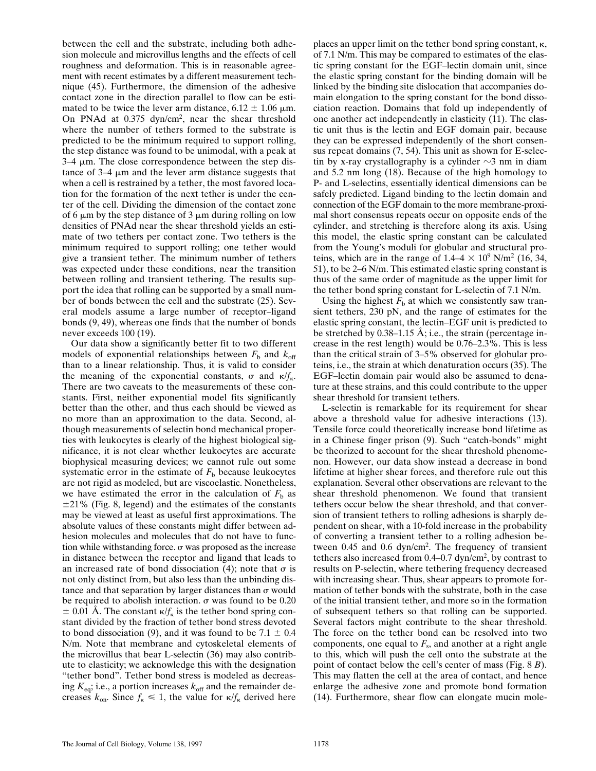between the cell and the substrate, including both adhesion molecule and microvillus lengths and the effects of cell roughness and deformation. This is in reasonable agreement with recent estimates by a different measurement technique (45). Furthermore, the dimension of the adhesive contact zone in the direction parallel to flow can be estimated to be twice the lever arm distance,  $6.12 \pm 1.06 \mu m$ . On PNAd at 0.375 dyn/cm2 , near the shear threshold where the number of tethers formed to the substrate is predicted to be the minimum required to support rolling, the step distance was found to be unimodal, with a peak at  $3-4 \mu m$ . The close correspondence between the step distance of  $3-4 \mu m$  and the lever arm distance suggests that when a cell is restrained by a tether, the most favored location for the formation of the next tether is under the center of the cell. Dividing the dimension of the contact zone of 6  $\mu$ m by the step distance of 3  $\mu$ m during rolling on low densities of PNAd near the shear threshold yields an estimate of two tethers per contact zone. Two tethers is the minimum required to support rolling; one tether would give a transient tether. The minimum number of tethers was expected under these conditions, near the transition between rolling and transient tethering. The results support the idea that rolling can be supported by a small number of bonds between the cell and the substrate (25). Several models assume a large number of receptor–ligand bonds (9, 49), whereas one finds that the number of bonds never exceeds 100 (19).

Our data show a significantly better fit to two different models of exponential relationships between  $F<sub>b</sub>$  and  $k<sub>off</sub>$ than to a linear relationship. Thus, it is valid to consider the meaning of the exponential constants,  $\sigma$  and  $\kappa/f_k$ . There are two caveats to the measurements of these constants. First, neither exponential model fits significantly better than the other, and thus each should be viewed as no more than an approximation to the data. Second, although measurements of selectin bond mechanical properties with leukocytes is clearly of the highest biological significance, it is not clear whether leukocytes are accurate biophysical measuring devices; we cannot rule out some systematic error in the estimate of  $F<sub>b</sub>$  because leukocytes are not rigid as modeled, but are viscoelastic. Nonetheless, we have estimated the error in the calculation of  $F<sub>b</sub>$  as  $\pm$ 21% (Fig. 8, legend) and the estimates of the constants may be viewed at least as useful first approximations. The absolute values of these constants might differ between adhesion molecules and molecules that do not have to function while withstanding force.  $\sigma$  was proposed as the increase in distance between the receptor and ligand that leads to an increased rate of bond dissociation (4); note that  $\sigma$  is not only distinct from, but also less than the unbinding distance and that separation by larger distances than  $\sigma$  would be required to abolish interaction.  $\sigma$  was found to be 0.20  $\pm$  0.01 Å. The constant  $\kappa/f_k$  is the tether bond spring constant divided by the fraction of tether bond stress devoted to bond dissociation (9), and it was found to be  $7.1 \pm 0.4$ N/m. Note that membrane and cytoskeletal elements of the microvillus that bear L-selectin (36) may also contribute to elasticity; we acknowledge this with the designation "tether bond". Tether bond stress is modeled as decreasing  $K_{eq}$ ; i.e., a portion increases  $k_{off}$  and the remainder decreases  $k_{\text{on}}$ . Since  $f_k \le 1$ , the value for  $\kappa / f_k$  derived here

places an upper limit on the tether bond spring constant,  $\kappa$ , of 7.1 N/m. This may be compared to estimates of the elastic spring constant for the EGF–lectin domain unit, since the elastic spring constant for the binding domain will be linked by the binding site dislocation that accompanies domain elongation to the spring constant for the bond dissociation reaction. Domains that fold up independently of one another act independently in elasticity (11). The elastic unit thus is the lectin and EGF domain pair, because they can be expressed independently of the short consensus repeat domains (7, 54). This unit as shown for E-selectin by x-ray crystallography is a cylinder  $\sim$ 3 nm in diam and 5.2 nm long (18). Because of the high homology to P- and L-selectins, essentially identical dimensions can be safely predicted. Ligand binding to the lectin domain and connection of the EGF domain to the more membrane-proximal short consensus repeats occur on opposite ends of the cylinder, and stretching is therefore along its axis. Using this model, the elastic spring constant can be calculated from the Young's moduli for globular and structural proteins, which are in the range of  $1.4-4 \times 10^9$  N/m<sup>2</sup> (16, 34, 51), to be 2–6 N/m. This estimated elastic spring constant is thus of the same order of magnitude as the upper limit for the tether bond spring constant for L-selectin of 7.1 N/m.

Using the highest  $F<sub>b</sub>$  at which we consistently saw transient tethers, 230 pN, and the range of estimates for the elastic spring constant, the lectin–EGF unit is predicted to be stretched by 0.38–1.15 Å; i.e., the strain (percentage increase in the rest length) would be 0.76–2.3%. This is less than the critical strain of 3–5% observed for globular proteins, i.e., the strain at which denaturation occurs (35). The EGF–lectin domain pair would also be assumed to denature at these strains, and this could contribute to the upper shear threshold for transient tethers.

L-selectin is remarkable for its requirement for shear above a threshold value for adhesive interactions (13). Tensile force could theoretically increase bond lifetime as in a Chinese finger prison (9). Such "catch-bonds" might be theorized to account for the shear threshold phenomenon. However, our data show instead a decrease in bond lifetime at higher shear forces, and therefore rule out this explanation. Several other observations are relevant to the shear threshold phenomenon. We found that transient tethers occur below the shear threshold, and that conversion of transient tethers to rolling adhesions is sharply dependent on shear, with a 10-fold increase in the probability of converting a transient tether to a rolling adhesion between 0.45 and 0.6 dyn/cm<sup>2</sup>. The frequency of transient tethers also increased from  $0.4 - 0.7$  dyn/cm<sup>2</sup>, by contrast to results on P-selectin, where tethering frequency decreased with increasing shear. Thus, shear appears to promote formation of tether bonds with the substrate, both in the case of the initial transient tether, and more so in the formation of subsequent tethers so that rolling can be supported. Several factors might contribute to the shear threshold. The force on the tether bond can be resolved into two components, one equal to  $F_s$ , and another at a right angle to this, which will push the cell onto the substrate at the point of contact below the cell's center of mass (Fig. 8 *B*). This may flatten the cell at the area of contact, and hence enlarge the adhesive zone and promote bond formation (14). Furthermore, shear flow can elongate mucin mole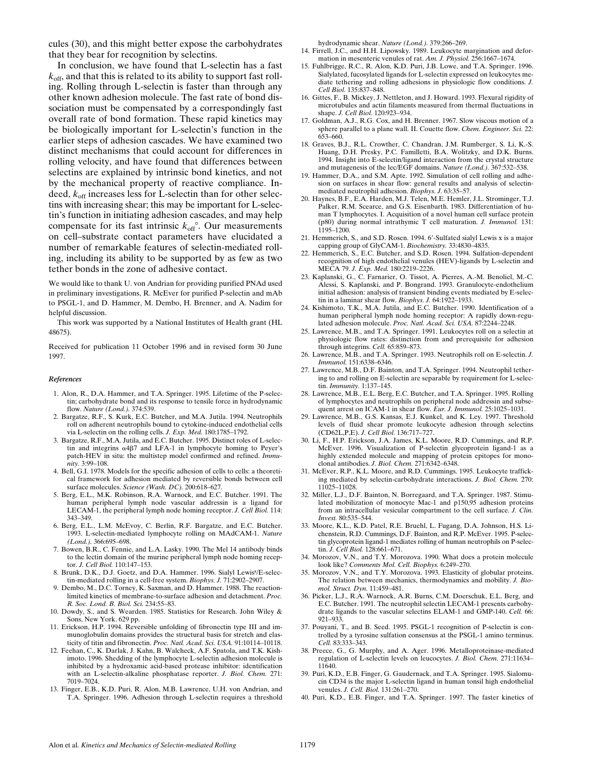cules (30), and this might better expose the carbohydrates that they bear for recognition by selectins.

In conclusion, we have found that L-selectin has a fast  $k_{\text{off}}$ , and that this is related to its ability to support fast rolling. Rolling through L-selectin is faster than through any other known adhesion molecule. The fast rate of bond dissociation must be compensated by a correspondingly fast overall rate of bond formation. These rapid kinetics may be biologically important for L-selectin's function in the earlier steps of adhesion cascades. We have examined two distinct mechanisms that could account for differences in rolling velocity, and have found that differences between selectins are explained by intrinsic bond kinetics, and not by the mechanical property of reactive compliance. Indeed,  $k_{\text{off}}$  increases less for L-selectin than for other selectins with increasing shear; this may be important for L-selectin's function in initiating adhesion cascades, and may help compensate for its fast intrinsic  $k_{\text{off}}^{\circ}$ . Our measurements on cell–substrate contact parameters have elucidated a number of remarkable features of selectin-mediated rolling, including its ability to be supported by as few as two tether bonds in the zone of adhesive contact.

We would like to thank U. von Andrian for providing purified PNAd used in preliminary investigations, R. McEver for purified P-selectin and mAb to PSGL-1, and D. Hammer, M. Dembo, H. Brenner, and A. Nadim for helpful discussion.

This work was supported by a National Institutes of Health grant (HL 48675).

Received for publication 11 October 1996 and in revised form 30 June 1997.

#### *References*

- 1. Alon, R., D.A. Hammer, and T.A. Springer. 1995. Lifetime of the P-selectin; carbohydrate bond and its response to tensile force in hydrodynamic flow. *Nature (Lond.).* 374:539.
- 2. Bargatze, R.F., S. Kurk, E.C. Butcher, and M.A. Jutila. 1994. Neutrophils roll on adherent neutrophils bound to cytokine-induced endothelial cells via L-selectin on the rolling cells. *J. Exp. Med.* 180:1785–1792.
- 3. Bargatze, R.F., M.A. Jutila, and E.C. Butcher. 1995. Distinct roles of L-selectin and integrins  $\alpha$ 4 $\beta$ 7 and LFA-1 in lymphocyte homing to Peyer's patch-HEV in situ: the multistep model confirmed and refined. *Immunity.* 3:99–108.
- 4. Bell, G.I. 1978. Models for the specific adhesion of cells to cells: a theoretical framework for adhesion mediated by reversible bonds between cell surface molecules. *Science (Wash. DC).* 200:618–627.
- 5. Berg, E.L., M.K. Robinson, R.A. Warnock, and E.C. Butcher. 1991. The human peripheral lymph node vascular addressin is a ligand for LECAM-1, the peripheral lymph node homing receptor. *J. Cell Biol.* 114: 343–349.
- 6. Berg, E.L., L.M. McEvoy, C. Berlin, R.F. Bargatze, and E.C. Butcher. 1993. L-selectin-mediated lymphocyte rolling on MAdCAM-1. *Nature (Lond.).* 366:695–698.
- 7. Bowen, B.R., C. Fennie, and L.A. Lasky. 1990. The Mel 14 antibody binds to the lectin domain of the murine peripheral lymph node homing receptor. *J. Cell Biol.* 110:147–153.
- 8. Brunk, D.K., D.J. Goetz, and D.A. Hammer. 1996. Sialyl Lewis<sup>x</sup>/E-selectin-mediated rolling in a cell-free system. *Biophys. J.* 71:2902–2907.
- 9. Dembo, M., D.C. Torney, K. Saxman, and D. Hammer. 1988. The reactionlimited kinetics of membrane-to-surface adhesion and detachment. *Proc. R. Soc. Lond. B. Biol. Sci.* 234:55–83.
- 10. Dowdy, S., and S. Wearden. 1985. Statistics for Research. John Wiley & Sons, New York. 629 pp.
- 11. Erickson, H.P. 1994. Reversible unfolding of fibronectin type III and immunoglobulin domains provides the structural basis for stretch and elasticity of titin and fibronectin. *Proc. Natl. Acad. Sci. USA.* 91:10114–10118.
- 12. Feehan, C., K. Darlak, J. Kahn, B. Walcheck, A.F. Spatola, and T.K. Kishimoto. 1996. Shedding of the lymphocyte L-selectin adhesion molecule is inhibited by a hydroxamic acid-based protease inhibitor: identification with an L-selectin-alkaline phosphatase reporter. *J. Biol. Chem.* 271: 7019–7024.
- 13. Finger, E.B., K.D. Puri, R. Alon, M.B. Lawrence, U.H. von Andrian, and T.A. Springer. 1996. Adhesion through L-selectin requires a threshold

hydrodynamic shear. *Nature (Lond.).* 379:266–269.

- 14. Firrell, J.C., and H.H. Lipowsky. 1989. Leukocyte margination and deformation in mesenteric venules of rat. *Am. J. Physiol.* 256:1667–1674.
- 15. Fuhlbrigge, R.C., R. Alon, K.D. Puri, J.B. Lowe, and T.A. Springer. 1996. Sialylated, fucosylated ligands for L-selectin expressed on leukocytes mediate tethering and rolling adhesions in physiologic flow conditions. *J. Cell Biol.* 135:837–848.
- 16. Gittes, F., B. Mickey, J. Nettleton, and J. Howard. 1993. Flexural rigidity of microtubules and actin filaments measured from thermal fluctuations in shape. *J. Cell Biol.* 120:923–934.
- 17. Goldman, A.J., R.G. Cox, and H. Brenner. 1967. Slow viscous motion of a sphere parallel to a plane wall. II. Couette flow. *Chem. Engineer. Sci.* 22: 653–660.
- 18. Graves, B.J., R.L. Crowther, C. Chandran, J.M. Rumberger, S. Li, K.-S. Huang, D.H. Presky, P.C. Familletti, B.A. Wolitzky, and D.K. Burns. 1994. Insight into E-selectin/ligand interaction from the crystal structure and mutagenesis of the lec/EGF domains. *Nature (Lond.).* 367:532–538.
- 19. Hammer, D.A., and S.M. Apte. 1992. Simulation of cell rolling and adhesion on surfaces in shear flow: general results and analysis of selectinmediated neutrophil adhesion. *Biophys. J.* 63:35–57.
- 20. Haynes, B.F., E.A. Harden, M.J. Telen, M.E. Hemler, J.L. Strominger, T.J. Palker, R.M. Scearce, and G.S. Eisenbarth. 1983. Differentiation of human T lymphocytes. I. Acquisition of a novel human cell surface protein (p80) during normal intrathymic T cell maturation. *J. Immunol.* 131: 1195–1200.
- 21. Hemmerich, S., and S.D. Rosen. 1994. 6'-Sulfated sialyl Lewis x is a major capping group of GlyCAM-1. *Biochemistry.* 33:4830–4835.
- 22. Hemmerich, S., E.C. Butcher, and S.D. Rosen. 1994. Sulfation-dependent recognition of high endothelial venules (HEV)-ligands by L-selectin and MECA 79. *J. Exp. Med.* 180:2219–2226.
- 23. Kaplanski, G., C. Farnarier, O. Tissot, A. Pierres, A.-M. Benoliel, M.-C. Alessi, S. Kaplanski, and P. Bongrand. 1993. Granulocyte-endothelium initial adhesion: analysis of transient binding events mediated by E-selectin in a laminar shear flow. *Biophys. J.* 64:1922–1933.
- 24. Kishimoto, T.K., M.A. Jutila, and E.C. Butcher. 1990. Identification of a human peripheral lymph node homing receptor: A rapidly down-regulated adhesion molecule. *Proc. Natl. Acad. Sci. USA.* 87:2244–2248.
- 25. Lawrence, M.B., and T.A. Springer. 1991. Leukocytes roll on a selectin at physiologic flow rates: distinction from and prerequisite for adhesion through integrins. *Cell.* 65:859–873.
- 26. Lawrence, M.B., and T.A. Springer. 1993. Neutrophils roll on E-selectin. *J. Immunol.* 151:6338–6346.
- 27. Lawrence, M.B., D.F. Bainton, and T.A. Springer. 1994. Neutrophil tethering to and rolling on E-selectin are separable by requirement for L-selectin. *Immunity.* 1:137–145.
- 28. Lawrence, M.B., E.L. Berg, E.C. Butcher, and T.A. Springer. 1995. Rolling of lymphocytes and neutrophils on peripheral node addressin and subsequent arrest on ICAM-1 in shear flow. *Eur. J. Immunol.* 25:1025–1031.
- 29. Lawrence, M.B., G.S. Kansas, E.J. Kunkel, and K. Ley. 1997. Threshold levels of fluid shear promote leukocyte adhesion through selectins (CD62L,P,E). *J. Cell Biol.* 136:717–727.
- 30. Li, F., H.P. Erickson, J.A. James, K.L. Moore, R.D. Cummings, and R.P. McEver. 1996. Visualization of P-selectin glycoprotein ligand-1 as a highly extended molecule and mapping of protein epitopes for monoclonal antibodies. *J. Biol. Chem.* 271:6342–6348.
- 31. McEver, R.P., K.L. Moore, and R.D. Cummings. 1995. Leukocyte trafficking mediated by selectin-carbohydrate interactions. *J. Biol. Chem.* 270: 11025–11028.
- 32. Miller, L.J., D.F. Bainton, N. Borregaard, and T.A. Springer. 1987. Stimulated mobilization of monocyte Mac-1 and p150,95 adhesion proteins from an intracellular vesicular compartment to the cell surface. *J. Clin. Invest.* 80:535–544.
- 33. Moore, K.L., K.D. Patel, R.E. Bruehl, L. Fugang, D.A. Johnson, H.S. Lichenstein, R.D. Cummings, D.F. Bainton, and R.P. McEver. 1995. P-selectin glycoprotein ligand-1 mediates rolling of human neutrophils on P-selectin. *J. Cell Biol.* 128:661–671.
- 34. Morozov, V.N., and T.Y. Morozova. 1990. What does a protein molecule look like? *Comments Mol. Cell. Biophys.* 6:249–270.
- 35. Morozov, V.N., and T.Y. Morozova. 1993. Elasticity of globular proteins. The relation between mechanics, thermodynamics and mobility. *J. Biomol. Struct. Dyn.* 11:459–481.
- 36. Picker, L.J., R.A. Warnock, A.R. Burns, C.M. Doerschuk, E.L. Berg, and E.C. Butcher. 1991. The neutrophil selectin LECAM-1 presents carbohydrate ligands to the vascular selectins ELAM-1 and GMP-140. *Cell.* 66: 921–933.
- 37. Pouyani, T., and B. Seed. 1995. PSGL-1 recognition of P-selectin is controlled by a tyrosine sulfation consensus at the PSGL-1 amino terminus. *Cell.* 83:333–343.
- 38. Preece, G., G. Murphy, and A. Ager. 1996. Metalloproteinase-mediated regulation of L-selectin levels on leucocytes. *J. Biol. Chem.* 271:11634– 11640.
- 39. Puri, K.D., E.B. Finger, G. Gaudernack, and T.A. Springer. 1995. Sialomucin CD34 is the major L-selectin ligand in human tonsil high endothelial venules. *J. Cell. Biol.* 131:261–270.
- 40. Puri, K.D., E.B. Finger, and T.A. Springer. 1997. The faster kinetics of